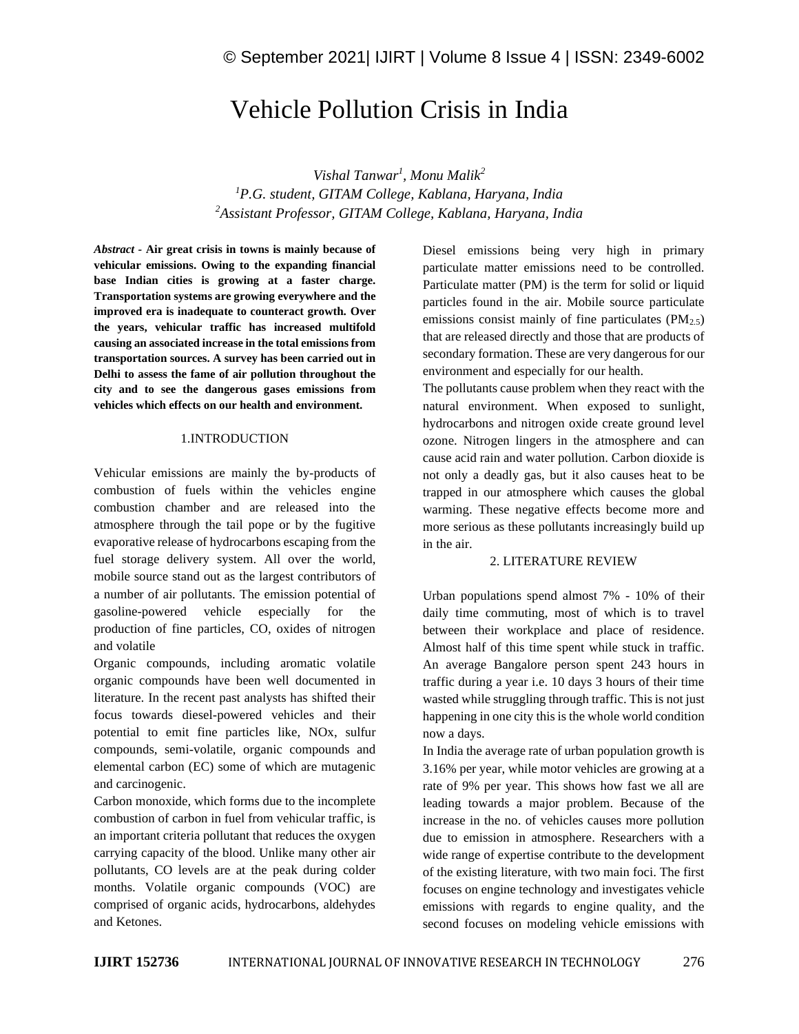# Vehicle Pollution Crisis in India

*Vishal Tanwar<sup>1</sup> , Monu Malik<sup>2</sup> <sup>1</sup>P.G. student, GITAM College, Kablana, Haryana, India <sup>2</sup>Assistant Professor, GITAM College, Kablana, Haryana, India*

*Abstract -* **Air great crisis in towns is mainly because of vehicular emissions. Owing to the expanding financial base Indian cities is growing at a faster charge. Transportation systems are growing everywhere and the improved era is inadequate to counteract growth. Over the years, vehicular traffic has increased multifold causing an associated increase in the total emissions from transportation sources. A survey has been carried out in Delhi to assess the fame of air pollution throughout the city and to see the dangerous gases emissions from vehicles which effects on our health and environment.**

## 1.INTRODUCTION

Vehicular emissions are mainly the by-products of combustion of fuels within the vehicles engine combustion chamber and are released into the atmosphere through the tail pope or by the fugitive evaporative release of hydrocarbons escaping from the fuel storage delivery system. All over the world, mobile source stand out as the largest contributors of a number of air pollutants. The emission potential of gasoline-powered vehicle especially for the production of fine particles, CO, oxides of nitrogen and volatile

Organic compounds, including aromatic volatile organic compounds have been well documented in literature. In the recent past analysts has shifted their focus towards diesel-powered vehicles and their potential to emit fine particles like, NOx, sulfur compounds, semi-volatile, organic compounds and elemental carbon (EC) some of which are mutagenic and carcinogenic.

Carbon monoxide, which forms due to the incomplete combustion of carbon in fuel from vehicular traffic, is an important criteria pollutant that reduces the oxygen carrying capacity of the blood. Unlike many other air pollutants, CO levels are at the peak during colder months. Volatile organic compounds (VOC) are comprised of organic acids, hydrocarbons, aldehydes and Ketones.

Diesel emissions being very high in primary particulate matter emissions need to be controlled. Particulate matter (PM) is the term for solid or liquid particles found in the air. Mobile source particulate emissions consist mainly of fine particulates  $(PM_{2.5})$ that are released directly and those that are products of secondary formation. These are very dangerous for our environment and especially for our health.

The pollutants cause problem when they react with the natural environment. When exposed to sunlight, hydrocarbons and nitrogen oxide create ground level ozone. Nitrogen lingers in the atmosphere and can cause acid rain and water pollution. Carbon dioxide is not only a deadly gas, but it also causes heat to be trapped in our atmosphere which causes the global warming. These negative effects become more and more serious as these pollutants increasingly build up in the air.

#### 2. LITERATURE REVIEW

Urban populations spend almost 7% - 10% of their daily time commuting, most of which is to travel between their workplace and place of residence. Almost half of this time spent while stuck in traffic. An average Bangalore person spent 243 hours in traffic during a year i.e. 10 days 3 hours of their time wasted while struggling through traffic. This is not just happening in one city this is the whole world condition now a days.

In India the average rate of urban population growth is 3.16% per year, while motor vehicles are growing at a rate of 9% per year. This shows how fast we all are leading towards a major problem. Because of the increase in the no. of vehicles causes more pollution due to emission in atmosphere. Researchers with a wide range of expertise contribute to the development of the existing literature, with two main foci. The first focuses on engine technology and investigates vehicle emissions with regards to engine quality, and the second focuses on modeling vehicle emissions with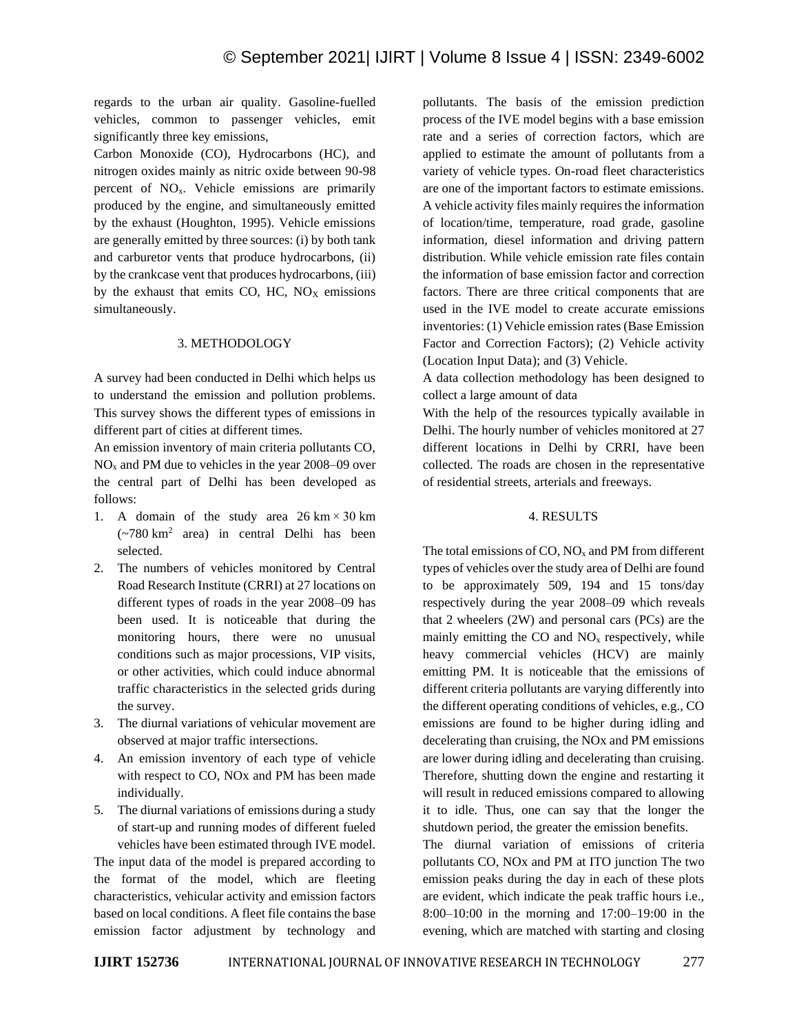regards to the urban air quality. Gasoline-fuelled vehicles, common to passenger vehicles, emit significantly three key emissions,

Carbon Monoxide (CO), Hydrocarbons (HC), and nitrogen oxides mainly as nitric oxide between 90-98 percent of NOx. Vehicle emissions are primarily produced by the engine, and simultaneously emitted by the exhaust (Houghton, 1995). Vehicle emissions are generally emitted by three sources: (i) by both tank and carburetor vents that produce hydrocarbons, (ii) by the crankcase vent that produces hydrocarbons, (iii) by the exhaust that emits  $CO$ ,  $HC$ ,  $NO<sub>X</sub>$  emissions simultaneously.

#### 3. METHODOLOGY

A survey had been conducted in Delhi which helps us to understand the emission and pollution problems. This survey shows the different types of emissions in different part of cities at different times.

An emission inventory of main criteria pollutants CO,  $NO<sub>x</sub>$  and PM due to vehicles in the year 2008–09 over the central part of Delhi has been developed as follows:

- 1. A domain of the study area  $26 \text{ km} \times 30 \text{ km}$  $(-780 \text{ km}^2 \text{ area})$  in central Delhi has been selected.
- 2. The numbers of vehicles monitored by Central Road Research Institute (CRRI) at 27 locations on different types of roads in the year 2008–09 has been used. It is noticeable that during the monitoring hours, there were no unusual conditions such as major processions, VIP visits, or other activities, which could induce abnormal traffic characteristics in the selected grids during the survey.
- 3. The diurnal variations of vehicular movement are observed at major traffic intersections.
- 4. An emission inventory of each type of vehicle with respect to CO, NOx and PM has been made individually.
- 5. The diurnal variations of emissions during a study of start-up and running modes of different fueled vehicles have been estimated through IVE model.

The input data of the model is prepared according to the format of the model, which are fleeting characteristics, vehicular activity and emission factors based on local conditions. A fleet file contains the base emission factor adjustment by technology and pollutants. The basis of the emission prediction process of the IVE model begins with a base emission rate and a series of correction factors, which are applied to estimate the amount of pollutants from a variety of vehicle types. On-road fleet characteristics are one of the important factors to estimate emissions. A vehicle activity files mainly requires the information of location/time, temperature, road grade, gasoline information, diesel information and driving pattern distribution. While vehicle emission rate files contain the information of base emission factor and correction factors. There are three critical components that are used in the IVE model to create accurate emissions inventories: (1) Vehicle emission rates (Base Emission Factor and Correction Factors); (2) Vehicle activity (Location Input Data); and (3) Vehicle.

A data collection methodology has been designed to collect a large amount of data

With the help of the resources typically available in Delhi. The hourly number of vehicles monitored at 27 different locations in Delhi by CRRI, have been collected. The roads are chosen in the representative of residential streets, arterials and freeways.

# 4. RESULTS

The total emissions of CO,  $NO<sub>x</sub>$  and PM from different types of vehicles over the study area of Delhi are found to be approximately 509, 194 and 15 tons/day respectively during the year 2008–09 which reveals that 2 wheelers (2W) and personal cars (PCs) are the mainly emitting the  $CO$  and  $NO<sub>x</sub>$  respectively, while heavy commercial vehicles (HCV) are mainly emitting PM. It is noticeable that the emissions of different criteria pollutants are varying differently into the different operating conditions of vehicles, e.g., CO emissions are found to be higher during idling and decelerating than cruising, the NOx and PM emissions are lower during idling and decelerating than cruising. Therefore, shutting down the engine and restarting it will result in reduced emissions compared to allowing it to idle. Thus, one can say that the longer the shutdown period, the greater the emission benefits.

The diurnal variation of emissions of criteria pollutants CO, NOx and PM at ITO junction The two emission peaks during the day in each of these plots are evident, which indicate the peak traffic hours i.e., 8:00–10:00 in the morning and 17:00–19:00 in the evening, which are matched with starting and closing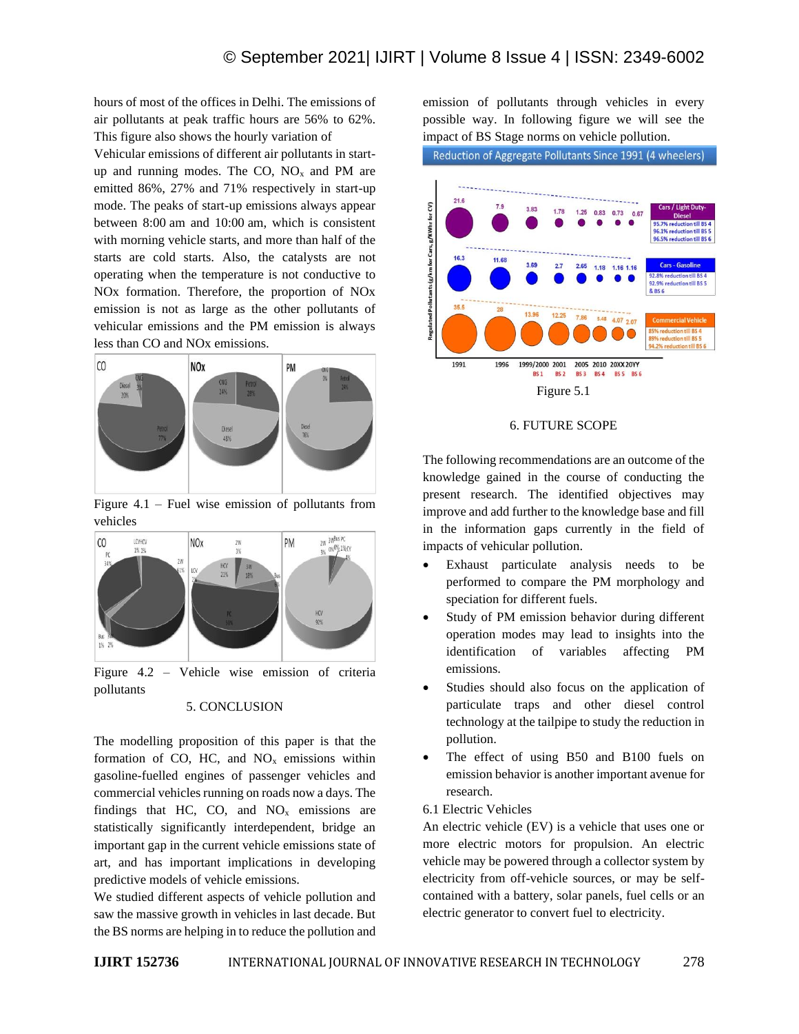hours of most of the offices in Delhi. The emissions of air pollutants at peak traffic hours are 56% to 62%. This figure also shows the hourly variation of

Vehicular emissions of different air pollutants in startup and running modes. The CO,  $NO<sub>x</sub>$  and PM are emitted 86%, 27% and 71% respectively in start-up mode. The peaks of start-up emissions always appear between 8:00 am and 10:00 am, which is consistent with morning vehicle starts, and more than half of the starts are cold starts. Also, the catalysts are not operating when the temperature is not conductive to NOx formation. Therefore, the proportion of NOx emission is not as large as the other pollutants of vehicular emissions and the PM emission is always less than CO and NOx emissions.



Figure 4.1 – Fuel wise emission of pollutants from vehicles



Figure 4.2 – Vehicle wise emission of criteria pollutants

#### 5. CONCLUSION

The modelling proposition of this paper is that the formation of CO, HC, and  $NO<sub>x</sub>$  emissions within gasoline-fuelled engines of passenger vehicles and commercial vehicles running on roads now a days. The findings that HC, CO, and  $NO<sub>x</sub>$  emissions are statistically significantly interdependent, bridge an important gap in the current vehicle emissions state of art, and has important implications in developing predictive models of vehicle emissions.

We studied different aspects of vehicle pollution and saw the massive growth in vehicles in last decade. But the BS norms are helping in to reduce the pollution and emission of pollutants through vehicles in every possible way. In following figure we will see the impact of BS Stage norms on vehicle pollution.

Reduction of Aggregate Pollutants Since 1991 (4 wheelers)



#### 6. FUTURE SCOPE

The following recommendations are an outcome of the knowledge gained in the course of conducting the present research. The identified objectives may improve and add further to the knowledge base and fill in the information gaps currently in the field of impacts of vehicular pollution.

- Exhaust particulate analysis needs to be performed to compare the PM morphology and speciation for different fuels.
- Study of PM emission behavior during different operation modes may lead to insights into the identification of variables affecting PM emissions.
- Studies should also focus on the application of particulate traps and other diesel control technology at the tailpipe to study the reduction in pollution.
- The effect of using B50 and B100 fuels on emission behavior is another important avenue for research.
- 6.1 Electric Vehicles

An electric vehicle (EV) is a vehicle that uses one or more electric motors for propulsion. An electric vehicle may be powered through a collector system by electricity from off-vehicle sources, or may be selfcontained with a battery, solar panels, fuel cells or an electric generator to convert fuel to electricity.